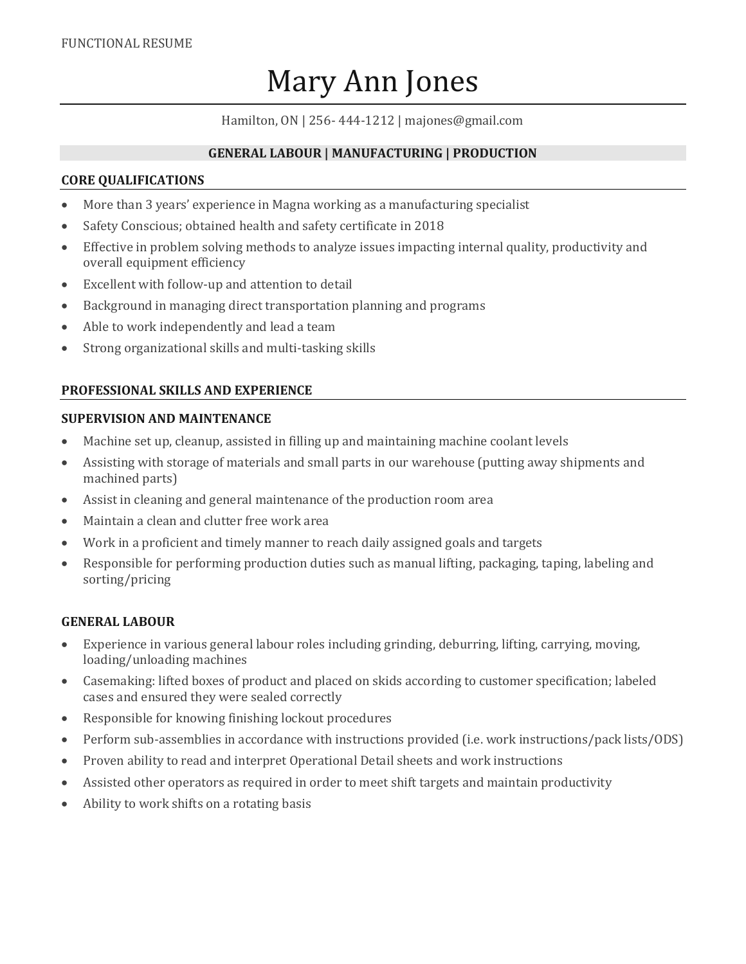# Mary Ann Jones

Hamilton, ON | 256- 444-1212 | majones@gmail.com

# **GENERAL LABOUR | MANUFACTURING | PRODUCTION**

## **CORE QUALIFICATIONS**

- More than 3 years' experience in Magna working as a manufacturing specialist
- Safety Conscious; obtained health and safety certificate in 2018
- Effective in problem solving methods to analyze issues impacting internal quality, productivity and overall equipment efficiency
- Excellent with follow-up and attention to detail
- Background in managing direct transportation planning and programs
- Able to work independently and lead a team
- Strong organizational skills and multi-tasking skills

# **PROFESSIONAL SKILLS AND EXPERIENCE**

## **SUPERVISION AND MAINTENANCE**

- Machine set up, cleanup, assisted in filling up and maintaining machine coolant levels
- Assisting with storage of materials and small parts in our warehouse (putting away shipments and machined parts)
- Assist in cleaning and general maintenance of the production room area
- Maintain a clean and clutter free work area
- Work in a proficient and timely manner to reach daily assigned goals and targets
- Responsible for performing production duties such as manual lifting, packaging, taping, labeling and sorting/pricing

## **GENERAL LABOUR**

- Experience in various general labour roles including grinding, deburring, lifting, carrying, moving, loading/unloading machines
- Casemaking: lifted boxes of product and placed on skids according to customer specification; labeled cases and ensured they were sealed correctly
- Responsible for knowing finishing lockout procedures
- Perform sub-assemblies in accordance with instructions provided (i.e. work instructions/pack lists/ODS)
- Proven ability to read and interpret Operational Detail sheets and work instructions
- Assisted other operators as required in order to meet shift targets and maintain productivity
- Ability to work shifts on a rotating basis